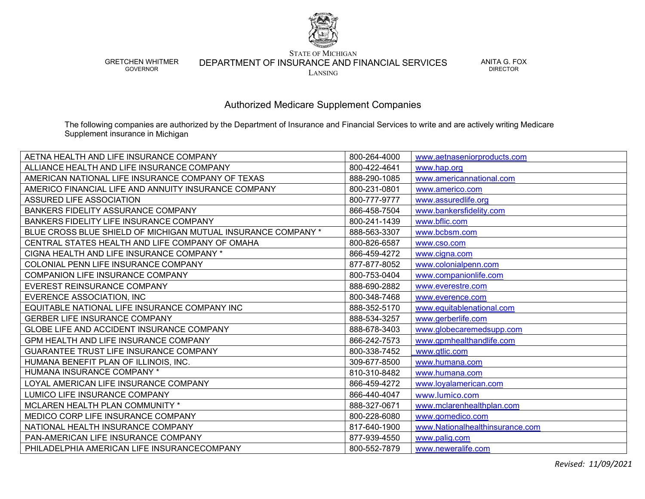

GRETCHEN WHITMER GOVERNOR

STATE OF MICHIGAN

DEPARTMENT OF INSURANCE AND FINANCIAL SERVICES

LANSING

ANITA G. FOX DIRECTOR

Authorized Medicare Supplement Companies

The following companies are authorized by the Department of Insurance and Financial Services to write and are actively writing Medicare Supplement insurance in Michigan

| AETNA HEALTH AND LIFE INSURANCE COMPANY                       | 800-264-4000 | www.aetnaseniorproducts.com     |
|---------------------------------------------------------------|--------------|---------------------------------|
| ALLIANCE HEALTH AND LIFE INSURANCE COMPANY                    | 800-422-4641 | www.hap.org                     |
| AMERICAN NATIONAL LIFE INSURANCE COMPANY OF TEXAS             | 888-290-1085 | www.americannational.com        |
| AMERICO FINANCIAL LIFE AND ANNUITY INSURANCE COMPANY          | 800-231-0801 | www.americo.com                 |
| <b>ASSURED LIFE ASSOCIATION</b>                               | 800-777-9777 | www.assuredlife.org             |
| BANKERS FIDELITY ASSURANCE COMPANY                            | 866-458-7504 | www.bankersfidelity.com         |
| BANKERS FIDELITY LIFE INSURANCE COMPANY                       | 800-241-1439 | www.bflic.com                   |
| BLUE CROSS BLUE SHIELD OF MICHIGAN MUTUAL INSURANCE COMPANY * | 888-563-3307 | www.bcbsm.com                   |
| CENTRAL STATES HEALTH AND LIFE COMPANY OF OMAHA               | 800-826-6587 | www.cso.com                     |
| CIGNA HEALTH AND LIFE INSURANCE COMPANY *                     | 866-459-4272 | www.cigna.com                   |
| COLONIAL PENN LIFE INSURANCE COMPANY                          | 877-877-8052 | www.colonialpenn.com            |
| COMPANION LIFE INSURANCE COMPANY                              | 800-753-0404 | www.companionlife.com           |
| EVEREST REINSURANCE COMPANY                                   | 888-690-2882 | www.everestre.com               |
| EVERENCE ASSOCIATION, INC                                     | 800-348-7468 | www.everence.com                |
| EQUITABLE NATIONAL LIFE INSURANCE COMPANY INC                 | 888-352-5170 | www.equitablenational.com       |
| GERBER LIFE INSURANCE COMPANY                                 | 888-534-3257 | www.gerberlife.com              |
| GLOBE LIFE AND ACCIDENT INSURANCE COMPANY                     | 888-678-3403 | www.globecaremedsupp.com        |
| GPM HEALTH AND LIFE INSURANCE COMPANY                         | 866-242-7573 | www.gpmhealthandlife.com        |
| GUARANTEE TRUST LIFE INSURANCE COMPANY                        | 800-338-7452 | www.gtlic.com                   |
| HUMANA BENEFIT PLAN OF ILLINOIS, INC.                         | 309-677-8500 | www.humana.com                  |
| HUMANA INSURANCE COMPANY *                                    | 810-310-8482 | www.humana.com                  |
| LOYAL AMERICAN LIFE INSURANCE COMPANY                         | 866-459-4272 | www.loyalamerican.com           |
| LUMICO LIFE INSURANCE COMPANY                                 | 866-440-4047 | www.lumico.com                  |
| MCLAREN HEALTH PLAN COMMUNITY *                               | 888-327-0671 | www.mclarenhealthplan.com       |
| MEDICO CORP LIFE INSURANCE COMPANY                            | 800-228-6080 | www.gomedico.com                |
| NATIONAL HEALTH INSURANCE COMPANY                             | 817-640-1900 | www.Nationalhealthinsurance.com |
| PAN-AMERICAN LIFE INSURANCE COMPANY                           | 877-939-4550 | www.palig.com                   |
| PHILADELPHIA AMERICAN LIFE INSURANCECOMPANY                   | 800-552-7879 | www.neweralife.com              |

*Revised: 11/09/2021*